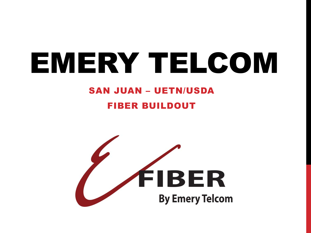# EMERY TELCOM

## **SAN JUAN - UETN/USDA**

#### **FIBER BUILDOUT**

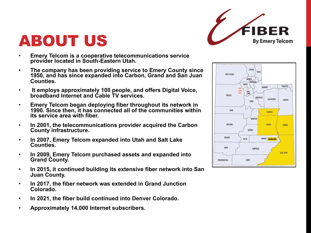

## ABOUT US

- **Emery Telcom is a cooperative telecommunications service provider located in South-Eastern Utah.**
- **The company has been providing service to Emery County since 1950, and has since expanded into Carbon, Grand and San Juan Counties.**
- **It employs approximately 100 people, and offers Digital Voice, broadband Internet and Cable TV services.**
- **Emery Telcom began deploying fiber throughout its network in 1990. Since then, it has connected all of the communities within its service area with fiber.**
- **In 2001, the telecommunications provider acquired the Carbon County infrastructure.**
- **In 2007, Emery Telcom expanded into Utah and Salt Lake Counties.**
- **In 2009, Emery Telcom purchased assets and expanded into Grand County.**
- **In 2015, it continued building its extensive fiber network into San Juan County.**
- **In 2017, the fiber network was extended in Grand Junction Colorado.**
- **In 2021, the fiber build continued into Denver Colorado.**
- **Approximately 14,000 Internet subscribers.**

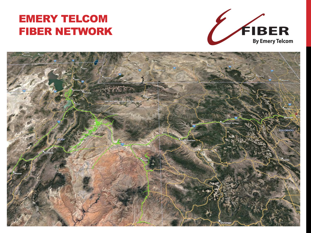#### EMERY TELCOM FIBER NETWORK



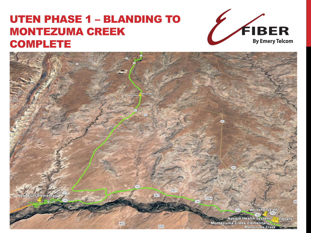#### UTEN PHASE 1 – BLANDING TO MONTEZUMA CREEK **COMPLETE**



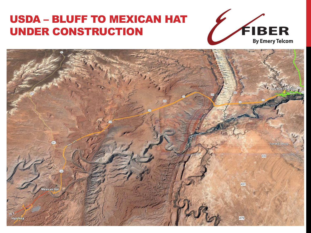### USDA – BLUFF TO MEXICAN HAT UNDER CONSTRUCTION



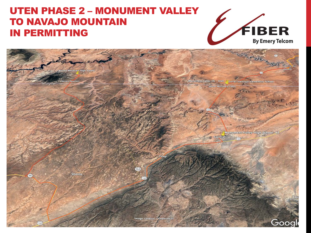#### **UTEN PHASE 2 - MONUMENT VALLEY TO NAVAJO MOUNTAIN IN PERMITTING**